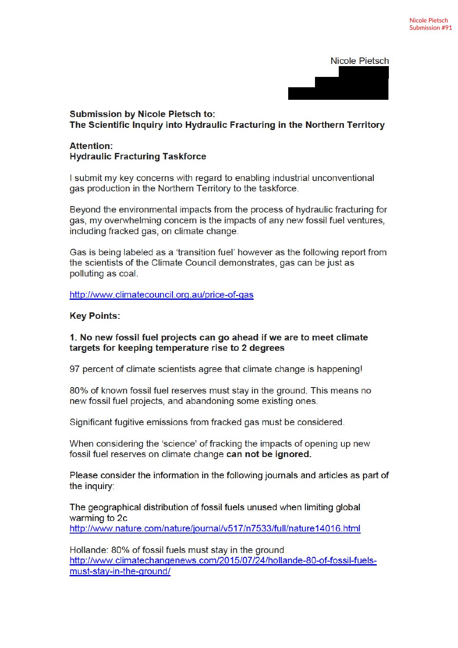**Nicole Pietsch** 

# **Submission by Nicole Pietsch to:** The Scientific Inquiry into Hydraulic Fracturing in the Northern Territory

### **Attention: Hydraulic Fracturing Taskforce**

I submit my key concerns with regard to enabling industrial unconventional gas production in the Northern Territory to the taskforce.

Beyond the environmental impacts from the process of hydraulic fracturing for gas, my overwhelming concern is the impacts of any new fossil fuel ventures. including fracked gas, on climate change.

Gas is being labeled as a 'transition fuel' however as the following report from the scientists of the Climate Council demonstrates, gas can be just as polluting as coal.

http://www.climatecouncil.org.au/price-of-gas

### **Key Points:**

#### 1. No new fossil fuel projects can go ahead if we are to meet climate targets for keeping temperature rise to 2 degrees

97 percent of climate scientists agree that climate change is happening!

80% of known fossil fuel reserves must stay in the ground. This means no new fossil fuel projects, and abandoning some existing ones.

Significant fugitive emissions from fracked gas must be considered.

When considering the 'science' of fracking the impacts of opening up new fossil fuel reserves on climate change can not be ignored.

Please consider the information in the following journals and articles as part of the inquiry:

The geographical distribution of fossil fuels unused when limiting global warming to 2c http://www.nature.com/nature/journal/v517/n7533/full/nature14016.html

Hollande: 80% of fossil fuels must stay in the ground http://www.climatechangenews.com/2015/07/24/hollande-80-of-fossil-fuelsmust-stay-in-the-ground/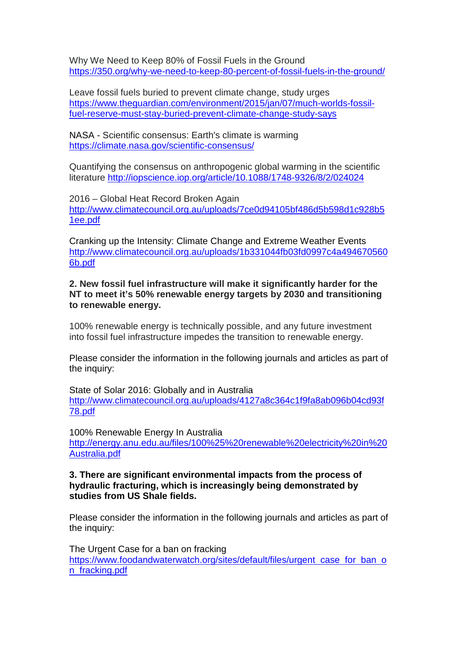Why We Need to Keep 80% of Fossil Fuels in the Ground https://350.org/why-we-need-to-keep-80-percent-of-fossil-fuels-in-the-ground/

Leave fossil fuels buried to prevent climate change, study urges https://www.theguardian.com/environment/2015/jan/07/much-worlds-fossilfuel-reserve-must-stay-buried-prevent-climate-change-study-says

NASA - Scientific consensus: Earth's climate is warming https://climate.nasa.gov/scientific-consensus/

Quantifying the consensus on anthropogenic global warming in the scientific literature http://iopscience.iop.org/article/10.1088/1748-9326/8/2/024024

2016 – Global Heat Record Broken Again http://www.climatecouncil.org.au/uploads/7ce0d94105bf486d5b598d1c928b5 1ee.pdf

Cranking up the Intensity: Climate Change and Extreme Weather Events http://www.climatecouncil.org.au/uploads/1b331044fb03fd0997c4a494670560 6b.pdf

**2. New fossil fuel infrastructure will make it significantly harder for the NT to meet it's 50% renewable energy targets by 2030 and transitioning to renewable energy.**

100% renewable energy is technically possible, and any future investment into fossil fuel infrastructure impedes the transition to renewable energy.

Please consider the information in the following journals and articles as part of the inquiry:

State of Solar 2016: Globally and in Australia http://www.climatecouncil.org.au/uploads/4127a8c364c1f9fa8ab096b04cd93f 78.pdf

100% Renewable Energy In Australia http://energy.anu.edu.au/files/100%25%20renewable%20electricity%20in%20 Australia.pdf

#### **3. There are significant environmental impacts from the process of hydraulic fracturing, which is increasingly being demonstrated by studies from US Shale fields.**

Please consider the information in the following journals and articles as part of the inquiry:

The Urgent Case for a ban on fracking https://www.foodandwaterwatch.org/sites/default/files/urgent case for ban o n fracking.pdf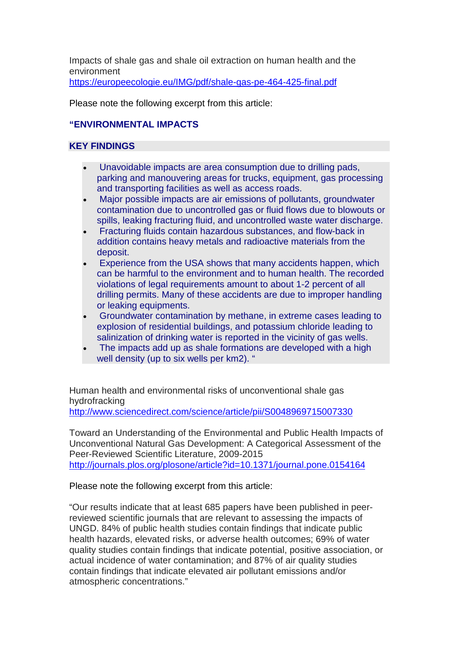Impacts of shale gas and shale oil extraction on human health and the environment https://europeecologie.eu/IMG/pdf/shale-gas-pe-464-425-final.pdf

Please note the following excerpt from this article:

## **"ENVIRONMENTAL IMPACTS**

### **KEY FINDINGS**

- Unavoidable impacts are area consumption due to drilling pads, parking and manouvering areas for trucks, equipment, gas processing and transporting facilities as well as access roads.
- Major possible impacts are air emissions of pollutants, groundwater contamination due to uncontrolled gas or fluid flows due to blowouts or spills, leaking fracturing fluid, and uncontrolled waste water discharge.
- Fracturing fluids contain hazardous substances, and flow-back in addition contains heavy metals and radioactive materials from the deposit.
- Experience from the USA shows that many accidents happen, which can be harmful to the environment and to human health. The recorded violations of legal requirements amount to about 1-2 percent of all drilling permits. Many of these accidents are due to improper handling or leaking equipments.
- Groundwater contamination by methane, in extreme cases leading to explosion of residential buildings, and potassium chloride leading to salinization of drinking water is reported in the vicinity of gas wells.
- The impacts add up as shale formations are developed with a high well density (up to six wells per km2). "

Human health and environmental risks of unconventional shale gas hydrofracking

http://www.sciencedirect.com/science/article/pii/S0048969715007330

Toward an Understanding of the Environmental and Public Health Impacts of Unconventional Natural Gas Development: A Categorical Assessment of the Peer-Reviewed Scientific Literature, 2009-2015 http://journals.plos.org/plosone/article?id=10.1371/journal.pone.0154164

Please note the following excerpt from this article:

"Our results indicate that at least 685 papers have been published in peerreviewed scientific journals that are relevant to assessing the impacts of UNGD. 84% of public health studies contain findings that indicate public health hazards, elevated risks, or adverse health outcomes; 69% of water quality studies contain findings that indicate potential, positive association, or actual incidence of water contamination; and 87% of air quality studies contain findings that indicate elevated air pollutant emissions and/or atmospheric concentrations."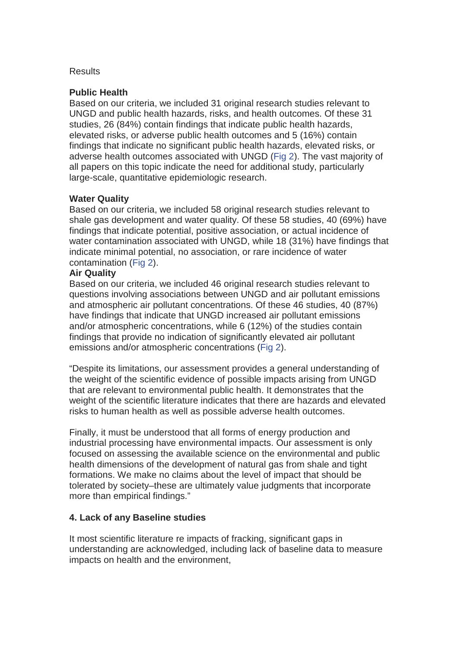#### **Results**

### **Public Health**

Based on our criteria, we included 31 original research studies relevant to UNGD and public health hazards, risks, and health outcomes. Of these 31 studies, 26 (84%) contain findings that indicate public health hazards, elevated risks, or adverse public health outcomes and 5 (16%) contain findings that indicate no significant public health hazards, elevated risks, or adverse health outcomes associated with UNGD (Fig 2). The vast majority of all papers on this topic indicate the need for additional study, particularly large-scale, quantitative epidemiologic research.

### **Water Quality**

Based on our criteria, we included 58 original research studies relevant to shale gas development and water quality. Of these 58 studies, 40 (69%) have findings that indicate potential, positive association, or actual incidence of water contamination associated with UNGD, while 18 (31%) have findings that indicate minimal potential, no association, or rare incidence of water contamination (Fig 2).

### **Air Quality**

Based on our criteria, we included 46 original research studies relevant to questions involving associations between UNGD and air pollutant emissions and atmospheric air pollutant concentrations. Of these 46 studies, 40 (87%) have findings that indicate that UNGD increased air pollutant emissions and/or atmospheric concentrations, while 6 (12%) of the studies contain findings that provide no indication of significantly elevated air pollutant emissions and/or atmospheric concentrations (Fig 2).

"Despite its limitations, our assessment provides a general understanding of the weight of the scientific evidence of possible impacts arising from UNGD that are relevant to environmental public health. It demonstrates that the weight of the scientific literature indicates that there are hazards and elevated risks to human health as well as possible adverse health outcomes.

Finally, it must be understood that all forms of energy production and industrial processing have environmental impacts. Our assessment is only focused on assessing the available science on the environmental and public health dimensions of the development of natural gas from shale and tight formations. We make no claims about the level of impact that should be tolerated by society–these are ultimately value judgments that incorporate more than empirical findings."

### **4. Lack of any Baseline studies**

It most scientific literature re impacts of fracking, significant gaps in understanding are acknowledged, including lack of baseline data to measure impacts on health and the environment,